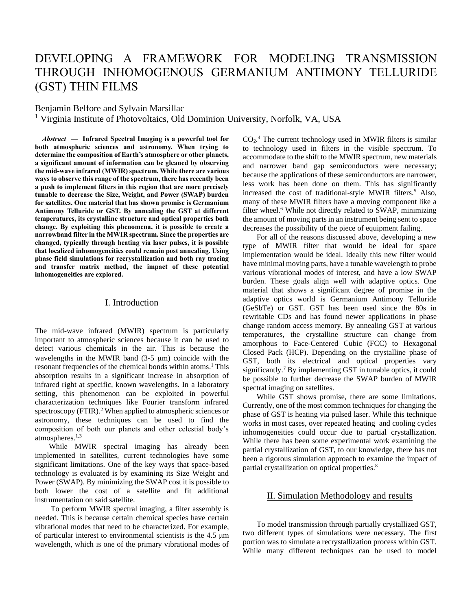# DEVELOPING A FRAMEWORK FOR MODELING TRANSMISSION THROUGH INHOMOGENOUS GERMANIUM ANTIMONY TELLURIDE (GST) THIN FILMS

Benjamin Belfore and Sylvain Marsillac

<sup>1</sup> Virginia Institute of Photovoltaics, Old Dominion University, Norfolk, VA, USA

*Abstract* **— Infrared Spectral Imaging is a powerful tool for both atmospheric sciences and astronomy. When trying to determine the composition of Earth's atmosphere or other planets, a significant amount of information can be gleaned by observing the mid-wave infrared (MWIR) spectrum. While there are various ways to observe this range of the spectrum, there has recently been a push to implement filters in this region that are more precisely tunable to decrease the Size, Weight, and Power (SWAP) burden for satellites. One material that has shown promise is Germanium Antimony Telluride or GST. By annealing the GST at different temperatures, its crystalline structure and optical properties both change. By exploiting this phenomena, it is possible to create a narrowband filter in the MWIR spectrum. Since the properties are changed, typically through heating via laser pulses, it is possible that localized inhomogeneities could remain post annealing. Using phase field simulations for recrystallization and both ray tracing and transfer matrix method, the impact of these potential inhomogeneities are explored.** 

## I. Introduction

The mid-wave infrared (MWIR) spectrum is particularly important to atmospheric sciences because it can be used to detect various chemicals in the air. This is because the wavelengths in the MWIR band  $(3-5 \mu m)$  coincide with the resonant frequencies of the chemical bonds within atoms. <sup>1</sup> This absorption results in a significant increase in absorption of infrared right at specific, known wavelengths. In a laboratory setting, this phenomenon can be exploited in powerful characterization techniques like Fourier transform infrared spectroscopy (FTIR). <sup>2</sup> When applied to atmospheric sciences or astronomy, these techniques can be used to find the composition of both our planets and other celestial body's atmospheres. 1,3

While MWIR spectral imaging has already been implemented in satellites, current technologies have some significant limitations. One of the key ways that space-based technology is evaluated is by examining its Size Weight and Power (SWAP). By minimizing the SWAP cost it is possible to both lower the cost of a satellite and fit additional instrumentation on said satellite.

To perform MWIR spectral imaging, a filter assembly is needed. This is because certain chemical species have certain vibrational modes that need to be characterized. For example, of particular interest to environmental scientists is the 4.5 μm wavelength, which is one of the primary vibrational modes of

 $CO<sub>2</sub>$ <sup>4</sup> The current technology used in MWIR filters is similar to technology used in filters in the visible spectrum. To accommodate to the shift to the MWIR spectrum, new materials and narrower band gap semiconductors were necessary; because the applications of these semiconductors are narrower, less work has been done on them. This has significantly increased the cost of traditional-style MWIR filters. <sup>5</sup> Also, many of these MWIR filters have a moving component like a filter wheel. <sup>6</sup> While not directly related to SWAP, minimizing the amount of moving parts in an instrument being sent to space decreases the possibility of the piece of equipment failing.

For all of the reasons discussed above, developing a new type of MWIR filter that would be ideal for space implementation would be ideal. Ideally this new filter would have minimal moving parts, have a tunable wavelength to probe various vibrational modes of interest, and have a low SWAP burden. These goals align well with adaptive optics. One material that shows a significant degree of promise in the adaptive optics world is Germanium Antimony Telluride (GeSbTe) or GST. GST has been used since the 80s in rewritable CDs and has found newer applications in phase change random access memory. By annealing GST at various temperatures, the crystalline structure can change from amorphous to Face-Centered Cubic (FCC) to Hexagonal Closed Pack (HCP). Depending on the crystalline phase of GST, both its electrical and optical properties vary significantly. <sup>7</sup> By implementing GST in tunable optics, it could be possible to further decrease the SWAP burden of MWIR spectral imaging on satellites.

While GST shows promise, there are some limitations. Currently, one of the most common techniques for changing the phase of GST is heating via pulsed laser. While this technique works in most cases, over repeated heating and cooling cycles inhomogeneities could occur due to partial crystallization. While there has been some experimental work examining the partial crystallization of GST, to our knowledge, there has not been a rigorous simulation approach to examine the impact of partial crystallization on optical properties. 8

## II. Simulation Methodology and results

To model transmission through partially crystallized GST, two different types of simulations were necessary. The first portion was to simulate a recrystallization process within GST. While many different techniques can be used to model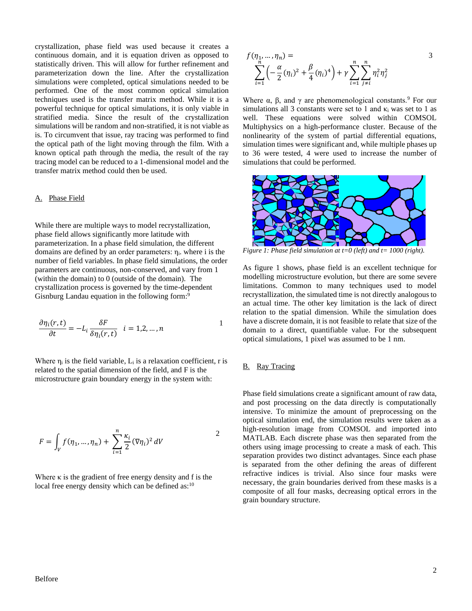crystallization, phase field was used because it creates a continuous domain, and it is equation driven as opposed to statistically driven. This will allow for further refinement and parameterization down the line. After the crystallization simulations were completed, optical simulations needed to be performed. One of the most common optical simulation techniques used is the transfer matrix method. While it is a powerful technique for optical simulations, it is only viable in stratified media. Since the result of the crystallization simulations will be random and non-stratified, it is not viable as is. To circumvent that issue, ray tracing was performed to find the optical path of the light moving through the film. With a known optical path through the media, the result of the ray tracing model can be reduced to a 1-dimensional model and the transfer matrix method could then be used.

### A. Phase Field

While there are multiple ways to model recrystallization, phase field allows significantly more latitude with parameterization. In a phase field simulation, the different domains are defined by an order parameters:  $\eta_i$ , where i is the number of field variables. In phase field simulations, the order parameters are continuous, non-conserved, and vary from 1 (within the domain) to 0 (outside of the domain). The crystallization process is governed by the time-dependent Gisnburg Landau equation in the following form:<sup>9</sup>

$$
\frac{\partial \eta_i(r,t)}{\partial t} = -L_i \frac{\delta F}{\delta \eta_i(r,t)} \quad i = 1,2,...,n
$$

Where  $\eta_i$  is the field variable,  $L_i$  is a relaxation coefficient, r is related to the spatial dimension of the field, and F is the microstructure grain boundary energy in the system with:

$$
F = \int_V f(\eta_1, \dots, \eta_n) + \sum_{i=1}^n \frac{\kappa_i}{2} (\nabla \eta_i)^2 dV
$$

Where  $\kappa$  is the gradient of free energy density and f is the local free energy density which can be defined as: $10$ 

$$
f(\eta_1, ..., \eta_n) =
$$
  

$$
\sum_{i=1}^n \left( -\frac{\alpha}{2} (\eta_i)^2 + \frac{\beta}{4} (\eta_i)^4 \right) + \gamma \sum_{i=1}^n \sum_{j \neq i}^n \eta_i^2 \eta_j^2
$$

Where  $\alpha$ ,  $\beta$ , and  $\gamma$  are phenomenological constants.<sup>9</sup> For our simulations all 3 constants were set to 1 and  $\kappa_i$  was set to 1 as well. These equations were solved within COMSOL Multiphysics on a high-performance cluster. Because of the nonlinearity of the system of partial differential equations, simulation times were significant and, while multiple phases up to 36 were tested, 4 were used to increase the number of simulations that could be performed.



*Figure 1: Phase field simulation at t=0 (left) and t= 1000 (right).*

As figure 1 shows, phase field is an excellent technique for modelling microstructure evolution, but there are some severe limitations. Common to many techniques used to model recrystallization, the simulated time is not directly analogous to an actual time. The other key limitation is the lack of direct relation to the spatial dimension. While the simulation does have a discrete domain, it is not feasible to relate that size of the domain to a direct, quantifiable value. For the subsequent optical simulations, 1 pixel was assumed to be 1 nm.

#### B. Ray Tracing

Phase field simulations create a significant amount of raw data, and post processing on the data directly is computationally intensive. To minimize the amount of preprocessing on the optical simulation end, the simulation results were taken as a high-resolution image from COMSOL and imported into MATLAB. Each discrete phase was then separated from the others using image processing to create a mask of each. This separation provides two distinct advantages. Since each phase is separated from the other defining the areas of different refractive indices is trivial. Also since four masks were necessary, the grain boundaries derived from these masks is a composite of all four masks, decreasing optical errors in the grain boundary structure.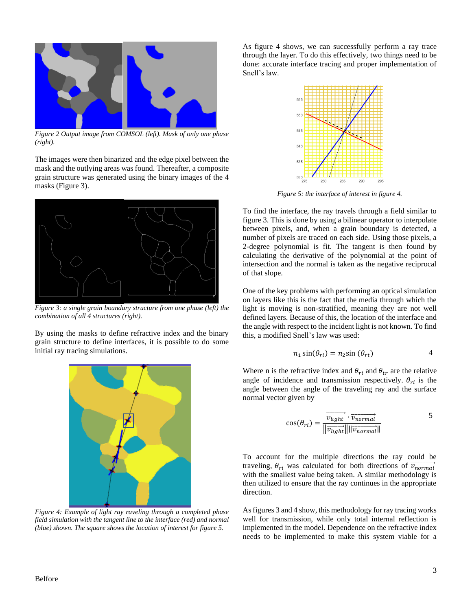

*Figure 2 Output image from COMSOL (left). Mask of only one phase (right).*

The images were then binarized and the edge pixel between the mask and the outlying areas was found. Thereafter, a composite grain structure was generated using the binary images of the 4 masks (Figure 3).



*Figure 3: a single grain boundary structure from one phase (left) the combination of all 4 structures (right).* 

By using the masks to define refractive index and the binary grain structure to define interfaces, it is possible to do some initial ray tracing simulations.



*Figure 4: Example of light ray raveling through a completed phase field simulation with the tangent line to the interface (red) and normal (blue) shown. The square shows the location of interest for figure 5.* 

As figure 4 shows, we can successfully perform a ray trace through the layer. To do this effectively, two things need to be done: accurate interface tracing and proper implementation of Snell's law.



*Figure 5: the interface of interest in figure 4.*

To find the interface, the ray travels through a field similar to figure 3. This is done by using a bilinear operator to interpolate between pixels, and, when a grain boundary is detected, a number of pixels are traced on each side. Using those pixels, a 2-degree polynomial is fit. The tangent is then found by calculating the derivative of the polynomial at the point of intersection and the normal is taken as the negative reciprocal of that slope.

One of the key problems with performing an optical simulation on layers like this is the fact that the media through which the light is moving is non-stratified, meaning they are not well defined layers. Because of this, the location of the interface and the angle with respect to the incident light is not known. To find this, a modified Snell's law was used:

$$
n_1 \sin(\theta_{ri}) = n_2 \sin(\theta_{rt})
$$
 4

Where n is the refractive index and  $\theta_{ri}$  and  $\theta_{tr}$  are the relative angle of incidence and transmission respectively.  $\theta_{ri}$  is the angle between the angle of the traveling ray and the surface normal vector given by

$$
\cos(\theta_{ri}) = \frac{\overrightarrow{v_{light}} \cdot \overrightarrow{v_{normal}}}{\|\overrightarrow{v_{light}}\| \|\overrightarrow{v_{normal}}\|}
$$

To account for the multiple directions the ray could be traveling,  $\theta_{ri}$  was calculated for both directions of  $\overrightarrow{v_{normal}}$ with the smallest value being taken. A similar methodology is then utilized to ensure that the ray continues in the appropriate direction.

As figures 3 and 4 show, this methodology for ray tracing works well for transmission, while only total internal reflection is implemented in the model. Dependence on the refractive index needs to be implemented to make this system viable for a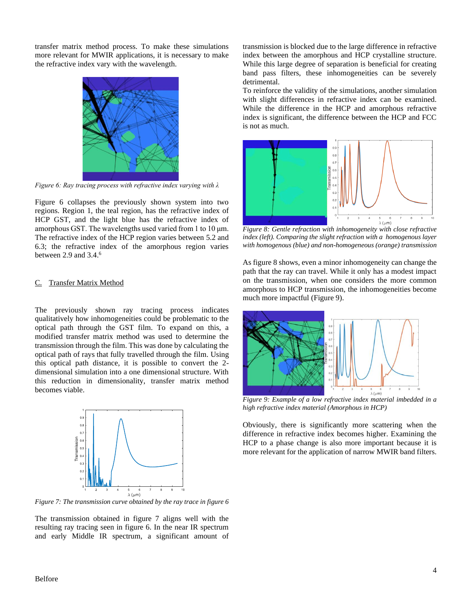transfer matrix method process. To make these simulations more relevant for MWIR applications, it is necessary to make the refractive index vary with the wavelength.



*Figure 6: Ray tracing process with refractive index varying with λ*

Figure 6 collapses the previously shown system into two regions. Region 1, the teal region, has the refractive index of HCP GST, and the light blue has the refractive index of amorphous GST. The wavelengths used varied from 1 to 10 μm. The refractive index of the HCP region varies between 5.2 and 6.3; the refractive index of the amorphous region varies between 2.9 and 3.4. 6

#### C. Transfer Matrix Method

The previously shown ray tracing process indicates qualitatively how inhomogeneities could be problematic to the optical path through the GST film. To expand on this, a modified transfer matrix method was used to determine the transmission through the film. This was done by calculating the optical path of rays that fully travelled through the film. Using this optical path distance, it is possible to convert the 2 dimensional simulation into a one dimensional structure. With this reduction in dimensionality, transfer matrix method becomes viable.



*Figure 7: The transmission curve obtained by the ray trace in figure 6*

The transmission obtained in figure 7 aligns well with the resulting ray tracing seen in figure 6. In the near IR spectrum and early Middle IR spectrum, a significant amount of transmission is blocked due to the large difference in refractive index between the amorphous and HCP crystalline structure. While this large degree of separation is beneficial for creating band pass filters, these inhomogeneities can be severely detrimental.

To reinforce the validity of the simulations, another simulation with slight differences in refractive index can be examined. While the difference in the HCP and amorphous refractive index is significant, the difference between the HCP and FCC is not as much.



*Figure 8: Gentle refraction with inhomogeneity with close refractive index (left). Comparing the slight refraction with a homogenous layer with homogenous (blue) and non-homogeneous (orange) transmission*

As figure 8 shows, even a minor inhomogeneity can change the path that the ray can travel. While it only has a modest impact on the transmission, when one considers the more common amorphous to HCP transmission, the inhomogeneities become much more impactful (Figure 9).



*Figure 9: Example of a low refractive index material imbedded in a high refractive index material (Amorphous in HCP)*

Obviously, there is significantly more scattering when the difference in refractive index becomes higher. Examining the HCP to a phase change is also more important because it is more relevant for the application of narrow MWIR band filters.